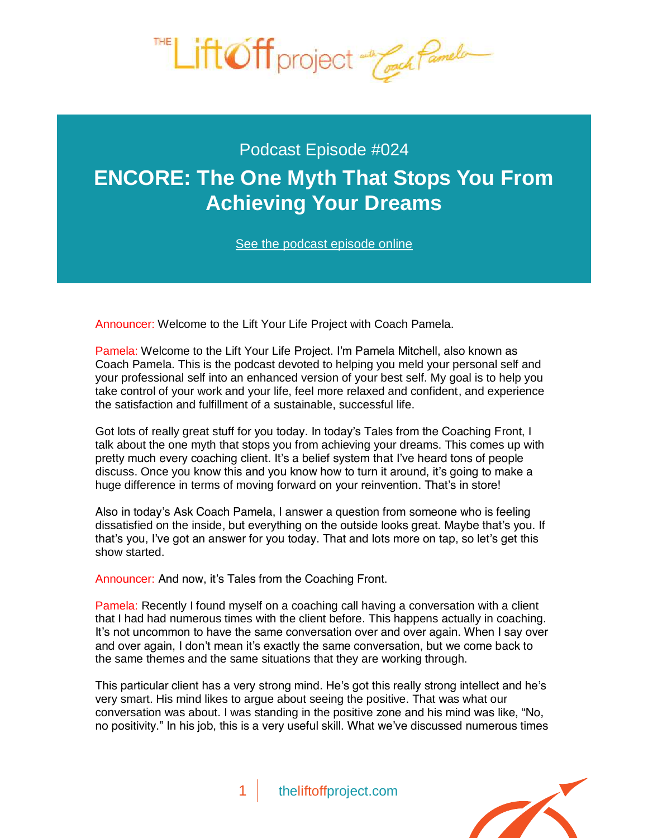

## Podcast Episode #024 **[ENCORE: The One Myth That Stops You From](http://theliftoffproject.com/encore-one-myth-stops-achieving-dreams/)  Achieving Your Dreams**

*See the podcast episode online*

Announcer: Welcome to the Lift Your Life Project with Coach Pamela.

Pamela: Welcome to the Lift Your Life Project. I'm Pamela Mitchell, also known as Coach Pamela. This is the podcast devoted to helping you meld your personal self and your professional self into an enhanced version of your best self. My goal is to help you take control of your work and your life, feel more relaxed and confident, and experience the satisfaction and fulfillment of a sustainable, successful life.

Got lots of really great stuff for you today. In today's Tales from the Coaching Front, I talk about the one myth that stops you from achieving your dreams. This comes up with pretty much every coaching client. It's a belief system that I've heard tons of people discuss. Once you know this and you know how to turn it around, it's going to make a huge difference in terms of moving forward on your reinvention. That's in store!

Also in today's Ask Coach Pamela, I answer a question from someone who is feeling dissatisfied on the inside, but everything on the outside looks great. Maybe that's you. If that's you, I've got an answer for you today. That and lots more on tap, so let's get this show started.

Announcer: And now, it's Tales from the Coaching Front.

Pamela: Recently I found myself on a coaching call having a conversation with a client that I had had numerous times with the client before. This happens actually in coaching. It's not uncommon to have the same conversation over and over again. When I say over and over again, I don't mean it's exactly the same conversation, but we come back to the same themes and the same situations that they are working through.

This particular client has a very strong mind. He's got this really strong intellect and he's very smart. His mind likes to argue about seeing the positive. That was what our conversation was about. I was standing in the positive zone and his mind was like, "No, no positivity." In his job, this is a very useful skill. What we've discussed numerous times

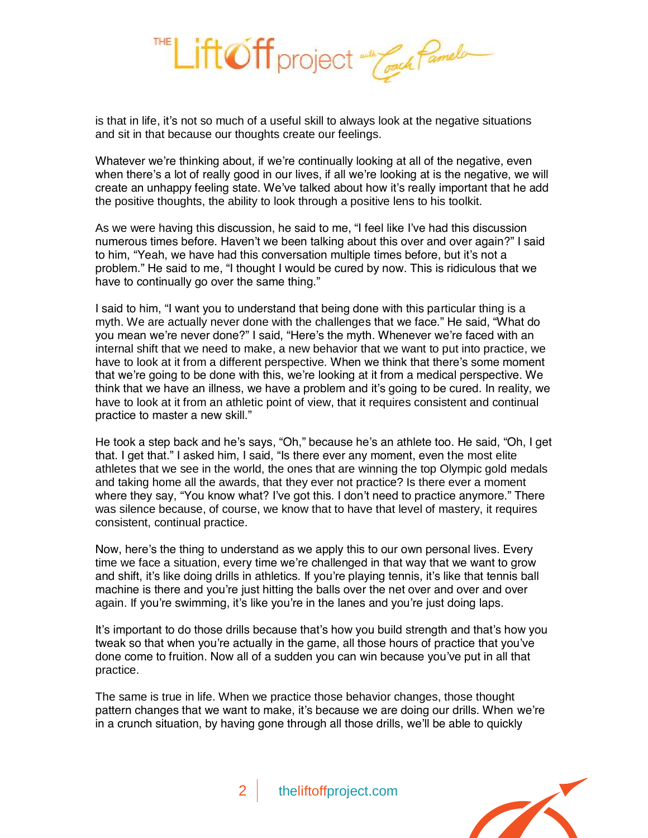

is that in life, it's not so much of a useful skill to always look at the negative situations and sit in that because our thoughts create our feelings.

Whatever we're thinking about, if we're continually looking at all of the negative, even when there's a lot of really good in our lives, if all we're looking at is the negative, we will create an unhappy feeling state. We've talked about how it's really important that he add the positive thoughts, the ability to look through a positive lens to his toolkit.

As we were having this discussion, he said to me, "I feel like I've had this discussion numerous times before. Haven't we been talking about this over and over again?" I said to him, "Yeah, we have had this conversation multiple times before, but it's not a problem." He said to me, "I thought I would be cured by now. This is ridiculous that we have to continually go over the same thing."

I said to him, "I want you to understand that being done with this particular thing is a myth. We are actually never done with the challenges that we face." He said, "What do you mean we're never done?" I said, "Here's the myth. Whenever we're faced with an internal shift that we need to make, a new behavior that we want to put into practice, we have to look at it from a different perspective. When we think that there's some moment that we're going to be done with this, we're looking at it from a medical perspective. We think that we have an illness, we have a problem and it's going to be cured. In reality, we have to look at it from an athletic point of view, that it requires consistent and continual practice to master a new skill."

He took a step back and he's says, "Oh," because he's an athlete too. He said, "Oh, I get that. I get that." I asked him, I said, "Is there ever any moment, even the most elite athletes that we see in the world, the ones that are winning the top Olympic gold medals and taking home all the awards, that they ever not practice? Is there ever a moment where they say, "You know what? I've got this. I don't need to practice anymore." There was silence because, of course, we know that to have that level of mastery, it requires consistent, continual practice.

Now, here's the thing to understand as we apply this to our own personal lives. Every time we face a situation, every time we're challenged in that way that we want to grow and shift, it's like doing drills in athletics. If you're playing tennis, it's like that tennis ball machine is there and you're just hitting the balls over the net over and over and over again. If you're swimming, it's like you're in the lanes and you're just doing laps.

It's important to do those drills because that's how you build strength and that's how you tweak so that when you're actually in the game, all those hours of practice that you've done come to fruition. Now all of a sudden you can win because you've put in all that practice.

The same is true in life. When we practice those behavior changes, those thought pattern changes that we want to make, it's because we are doing our drills. When we're in a crunch situation, by having gone through all those drills, we'll be able to quickly

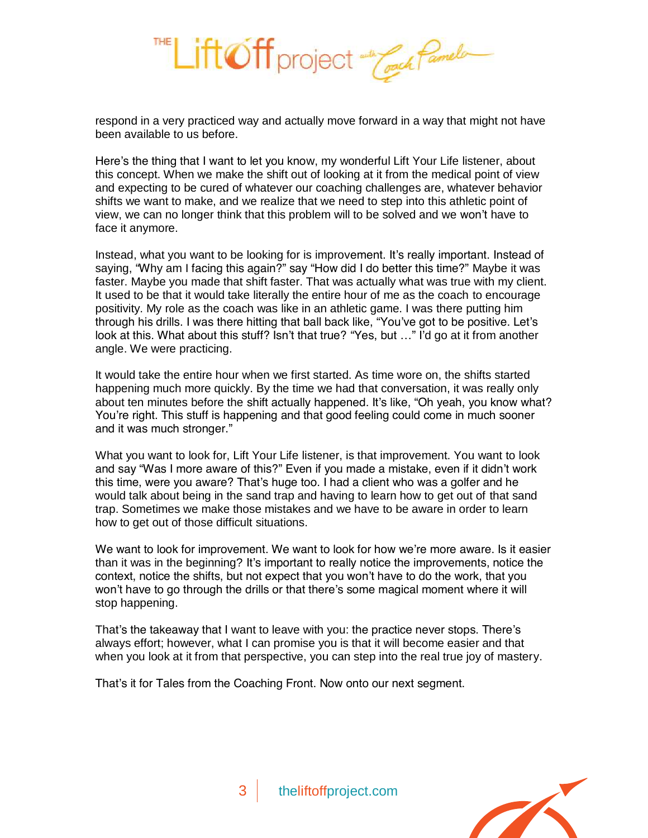

respond in a very practiced way and actually move forward in a way that might not have been available to us before.

Here's the thing that I want to let you know, my wonderful Lift Your Life listener, about this concept. When we make the shift out of looking at it from the medical point of view and expecting to be cured of whatever our coaching challenges are, whatever behavior shifts we want to make, and we realize that we need to step into this athletic point of view, we can no longer think that this problem will to be solved and we won't have to face it anymore.

Instead, what you want to be looking for is improvement. It's really important. Instead of saying, "Why am I facing this again?" say "How did I do better this time?" Maybe it was faster. Maybe you made that shift faster. That was actually what was true with my client. It used to be that it would take literally the entire hour of me as the coach to encourage positivity. My role as the coach was like in an athletic game. I was there putting him through his drills. I was there hitting that ball back like, "You've got to be positive. Let's look at this. What about this stuff? Isn't that true? "Yes, but …" I'd go at it from another angle. We were practicing.

It would take the entire hour when we first started. As time wore on, the shifts started happening much more quickly. By the time we had that conversation, it was really only about ten minutes before the shift actually happened. It's like, "Oh yeah, you know what? You're right. This stuff is happening and that good feeling could come in much sooner and it was much stronger."

What you want to look for, Lift Your Life listener, is that improvement. You want to look and say "Was I more aware of this?" Even if you made a mistake, even if it didn't work this time, were you aware? That's huge too. I had a client who was a golfer and he would talk about being in the sand trap and having to learn how to get out of that sand trap. Sometimes we make those mistakes and we have to be aware in order to learn how to get out of those difficult situations.

We want to look for improvement. We want to look for how we're more aware. Is it easier than it was in the beginning? It's important to really notice the improvements, notice the context, notice the shifts, but not expect that you won't have to do the work, that you won't have to go through the drills or that there's some magical moment where it will stop happening.

That's the takeaway that I want to leave with you: the practice never stops. There's always effort; however, what I can promise you is that it will become easier and that when you look at it from that perspective, you can step into the real true joy of mastery.

That's it for Tales from the Coaching Front. Now onto our next segment.

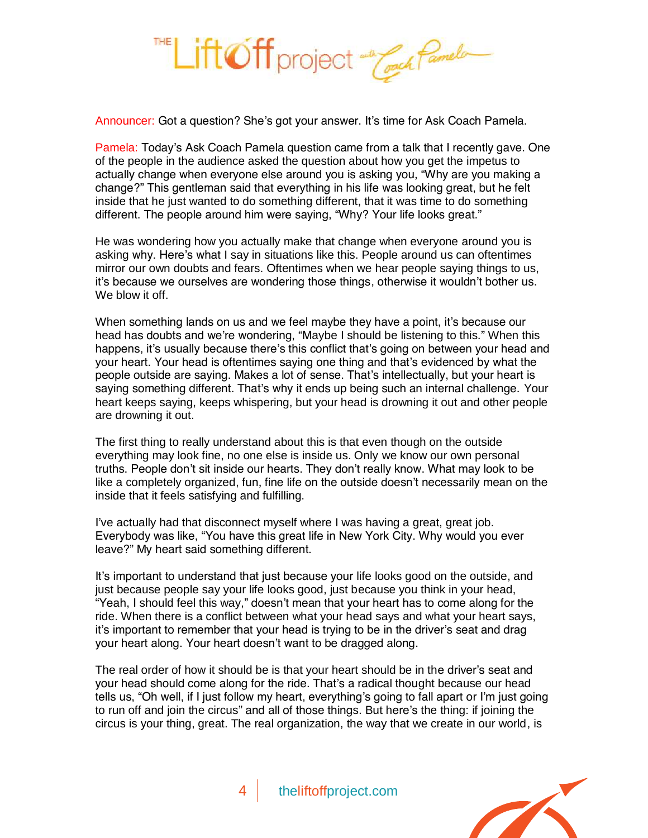

Announcer: Got a question? She's got your answer. It's time for Ask Coach Pamela.

Pamela: Today's Ask Coach Pamela question came from a talk that I recently gave. One of the people in the audience asked the question about how you get the impetus to actually change when everyone else around you is asking you, "Why are you making a change?" This gentleman said that everything in his life was looking great, but he felt inside that he just wanted to do something different, that it was time to do something different. The people around him were saying, "Why? Your life looks great."

He was wondering how you actually make that change when everyone around you is asking why. Here's what I say in situations like this. People around us can oftentimes mirror our own doubts and fears. Oftentimes when we hear people saying things to us, it's because we ourselves are wondering those things, otherwise it wouldn't bother us. We blow it off.

When something lands on us and we feel maybe they have a point, it's because our head has doubts and we're wondering, "Maybe I should be listening to this." When this happens, it's usually because there's this conflict that's going on between your head and your heart. Your head is oftentimes saying one thing and that's evidenced by what the people outside are saying. Makes a lot of sense. That's intellectually, but your heart is saying something different. That's why it ends up being such an internal challenge. Your heart keeps saying, keeps whispering, but your head is drowning it out and other people are drowning it out.

The first thing to really understand about this is that even though on the outside everything may look fine, no one else is inside us. Only we know our own personal truths. People don't sit inside our hearts. They don't really know. What may look to be like a completely organized, fun, fine life on the outside doesn't necessarily mean on the inside that it feels satisfying and fulfilling.

I've actually had that disconnect myself where I was having a great, great job. Everybody was like, "You have this great life in New York City. Why would you ever leave?" My heart said something different.

It's important to understand that just because your life looks good on the outside, and just because people say your life looks good, just because you think in your head, "Yeah, I should feel this way," doesn't mean that your heart has to come along for the ride. When there is a conflict between what your head says and what your heart says, it's important to remember that your head is trying to be in the driver's seat and drag your heart along. Your heart doesn't want to be dragged along.

The real order of how it should be is that your heart should be in the driver's seat and your head should come along for the ride. That's a radical thought because our head tells us, "Oh well, if I just follow my heart, everything's going to fall apart or I'm just going to run off and join the circus" and all of those things. But here's the thing: if joining the circus is your thing, great. The real organization, the way that we create in our world, is